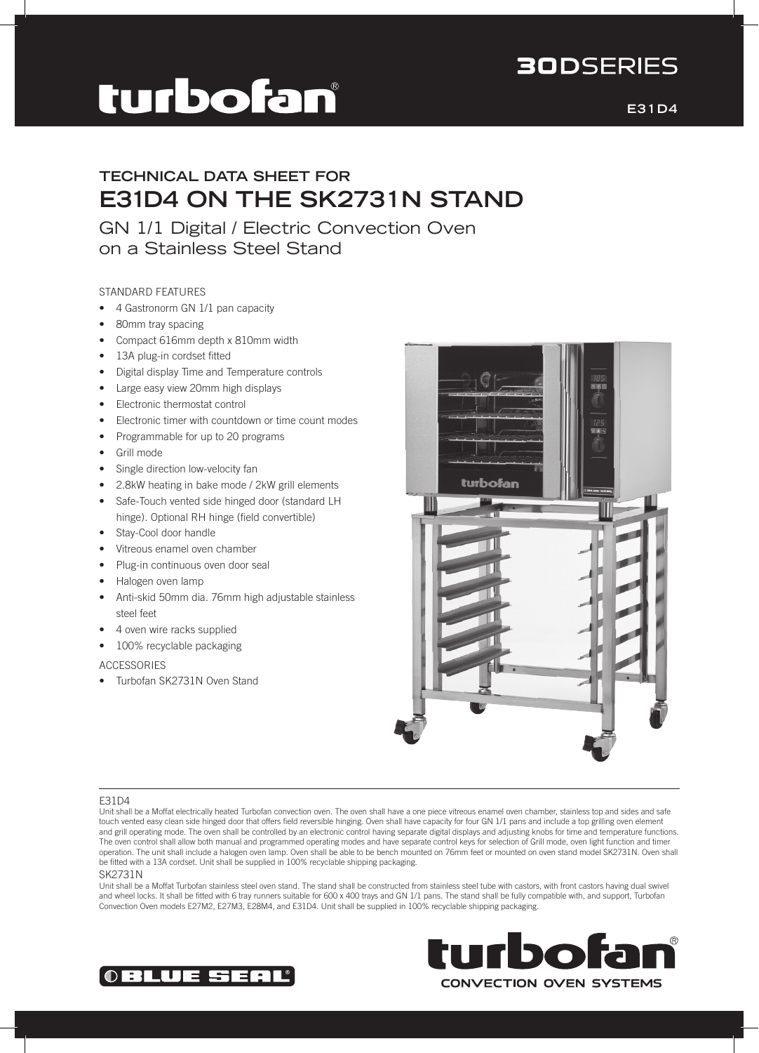# **30DSERIES**

# turbofan

**E31D4**

# **TECHNICAL DATA SHEET FOR E31D4 ON THE SK2731N STAND**

GN 1/1 Digital / Electric Convection Oven on a Stainless Steel Stand

## STANDARD FEATURES

- 4 Gastronorm GN 1/1 pan capacity
- 80mm tray spacing
- Compact 616mm depth x 810mm width
- 13A plug-in cordset fitted
- • Digital display Time and Temperature controls
- Large easy view 20mm high displays
- • Electronic thermostat control
- • Electronic timer with countdown or time count modes
- • Programmable for up to 20 programs
- Grill mode
- Single direction low-velocity fan
- 2.8kW heating in bake mode / 2kW grill elements
- Safe-Touch vented side hinged door (standard LH hinge). Optional RH hinge (field convertible)
- Stay-Cool door handle
- • Vitreous enamel oven chamber
- Plug-in continuous oven door seal
- Halogen oven lamp
- Anti-skid 50mm dia. 76mm high adjustable stainless steel feet
- 4 oven wire racks supplied
- 100% recyclable packaging

## ACCESSORIES

• Turbofan SK2731N Oven Stand



## E31D4

#### SK2731N

Unit shall be a Moffat Turbofan stainless steel oven stand. The stand shall be constructed from stainless steel tube with castors, with front castors having dual swivel and wheel locks. It shall be fitted with 6 tray runners suitable for 600 x 400 trays and GN 1/1 pans. The stand shall be fully compatible with, and support, Turbofan Convection Oven models E27M2, E27M3, E28M4, and E31D4. Unit shall be supplied in 100% recyclable shipping packaging.





Unit shall be a Moffat electrically heated Turbofan convection oven. The oven shall have a one piece vitreous enamel oven chamber, stainless top and sides and safe touch vented easy clean side hinged door that offers field reversible hinging. Oven shall have capacity for four GN 1/1 pans and include a top grilling oven element and grill operating mode. The oven shall be controlled by an electronic control having separate digital displays and adjusting knobs for time and temperature functions. The oven control shall allow both manual and programmed operating modes and have separate control keys for selection of Grill mode, oven light function and timer operation. The unit shall include a halogen oven lamp. Oven shall be able to be bench mounted on 76mm feet or mounted on oven stand model SK2731N. Oven shall be fitted with a 13A cordset. Unit shall be supplied in 100% recyclable shipping packaging.